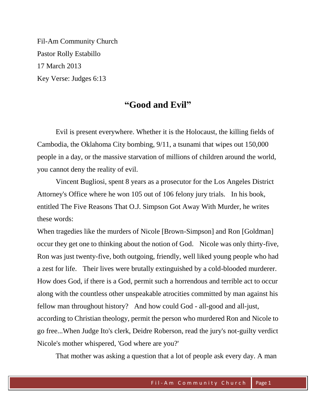Fil-Am Community Church Pastor Rolly Estabillo 17 March 2013 Key Verse: Judges 6:13

# **"Good and Evil"**

Evil is present everywhere. Whether it is the Holocaust, the killing fields of Cambodia, the Oklahoma City bombing, 9/11, a tsunami that wipes out 150,000 people in a day, or the massive starvation of millions of children around the world, you cannot deny the reality of evil.

Vincent Bugliosi, spent 8 years as a prosecutor for the Los Angeles District Attorney's Office where he won 105 out of 106 felony jury trials. In his book, entitled The Five Reasons That O.J. Simpson Got Away With Murder, he writes these words:

When tragedies like the murders of Nicole [Brown-Simpson] and Ron [Goldman] occur they get one to thinking about the notion of God. Nicole was only thirty-five, Ron was just twenty-five, both outgoing, friendly, well liked young people who had a zest for life. Their lives were brutally extinguished by a cold-blooded murderer. How does God, if there is a God, permit such a horrendous and terrible act to occur along with the countless other unspeakable atrocities committed by man against his fellow man throughout history? And how could God - all-good and all-just, according to Christian theology, permit the person who murdered Ron and Nicole to go free...When Judge Ito's clerk, Deidre Roberson, read the jury's not-guilty verdict Nicole's mother whispered, 'God where are you?'

That mother was asking a question that a lot of people ask every day. A man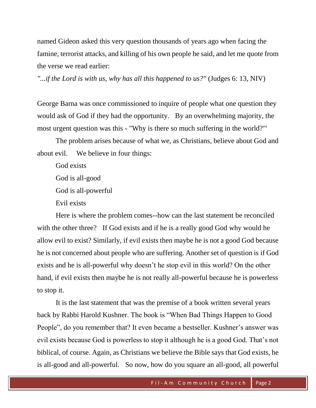named Gideon asked this very question thousands of years ago when facing the famine, terrorist attacks, and killing of his own people he said, and let me quote from the verse we read earlier:

*"...if the Lord is with us, why has all this happened to us?"* (Judges 6: 13, NIV)

George Barna was once commissioned to inquire of people what one question they would ask of God if they had the opportunity. By an overwhelming majority, the most urgent question was this - "Why is there so much suffering in the world?"'

The problem arises because of what we, as Christians, believe about God and about evil. We believe in four things:

God exists God is all-good God is all-powerful

Evil exists

Here is where the problem comes--how can the last statement be reconciled with the other three? If God exists and if he is a really good God why would he allow evil to exist? Similarly, if evil exists then maybe he is not a good God because he is not concerned about people who are suffering. Another set of question is if God exists and he is all-powerful why doesn't he stop evil in this world? On the other hand, if evil exists then maybe he is not really all-powerful because he is powerless to stop it.

It is the last statement that was the premise of a book written several years back by Rabbi Harold Kushner. The book is "When Bad Things Happen to Good People", do you remember that? It even became a bestseller. Kushner's answer was evil exists because God is powerless to stop it although he is a good God. That's not biblical, of course. Again, as Christians we believe the Bible says that God exists, he is all-good and all-powerful. So now, how do you square an all-good, all powerful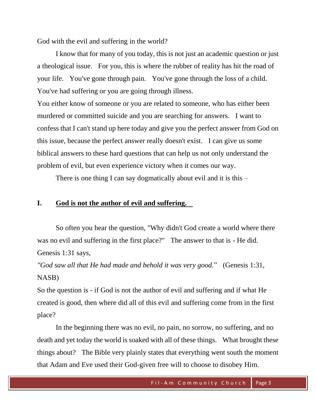God with the evil and suffering in the world?

I know that for many of you today, this is not just an academic question or just a theological issue. For you, this is where the rubber of reality has hit the road of your life. You've gone through pain. You've gone through the loss of a child. You've had suffering or you are going through illness.

You either know of someone or you are related to someone, who has either been murdered or committed suicide and you are searching for answers. I want to confess that I can't stand up here today and give you the perfect answer from God on this issue, because the perfect answer really doesn't exist. I can give us some biblical answers to these hard questions that can help us not only understand the problem of evil, but even experience victory when it comes our way.

There is one thing I can say dogmatically about evil and it is this –

## **I. God is not the author of evil and suffering.**

So often you hear the question, "Why didn't God create a world where there was no evil and suffering in the first place?" The answer to that is - He did. Genesis 1:31 says,

*"God saw all that He had made and behold it was very good.*" (Genesis 1:31, NASB)

So the question is - if God is not the author of evil and suffering and if what He created is good, then where did all of this evil and suffering come from in the first place?

In the beginning there was no evil, no pain, no sorrow, no suffering, and no death and yet today the world is soaked with all of these things. What brought these things about? The Bible very plainly states that everything went south the moment that Adam and Eve used their God-given free will to choose to disobey Him.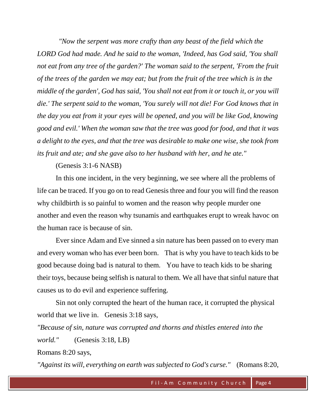*"Now the serpent was more crafty than any beast of the field which the LORD God had made. And he said to the woman, 'Indeed, has God said, 'You shall not eat from any tree of the garden?' The woman said to the serpent, 'From the fruit of the trees of the garden we may eat; but from the fruit of the tree which is in the middle of the garden', God has said, 'You shall not eat from it or touch it, or you will die.' The serpent said to the woman, 'You surely will not die! For God knows that in the day you eat from it your eyes will be opened, and you will be like God, knowing good and evil.' When the woman saw that the tree was good for food, and that it was a delight to the eyes, and that the tree was desirable to make one wise, she took from its fruit and ate; and she gave also to her husband with her, and he ate."* 

(Genesis 3:1-6 NASB)

In this one incident, in the very beginning, we see where all the problems of life can be traced. If you go on to read Genesis three and four you will find the reason why childbirth is so painful to women and the reason why people murder one another and even the reason why tsunamis and earthquakes erupt to wreak havoc on the human race is because of sin.

Ever since Adam and Eve sinned a sin nature has been passed on to every man and every woman who has ever been born. That is why you have to teach kids to be good because doing bad is natural to them. You have to teach kids to be sharing their toys, because being selfish is natural to them. We all have that sinful nature that causes us to do evil and experience suffering.

Sin not only corrupted the heart of the human race, it corrupted the physical world that we live in. Genesis 3:18 says,

*"Because of sin, nature was corrupted and thorns and thistles entered into the world."* (Genesis 3:18, LB)

Romans 8:20 says,

*"Against its will, everything on earth was subjected to God's curse."* (Romans 8:20,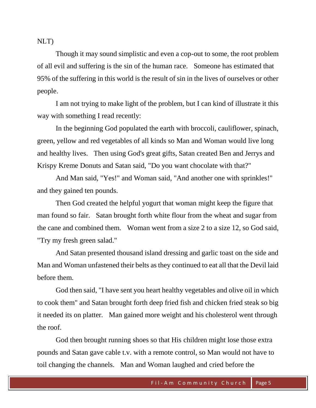NLT)

Though it may sound simplistic and even a cop-out to some, the root problem of all evil and suffering is the sin of the human race. Someone has estimated that 95% of the suffering in this world is the result of sin in the lives of ourselves or other people.

I am not trying to make light of the problem, but I can kind of illustrate it this way with something I read recently:

In the beginning God populated the earth with broccoli, cauliflower, spinach, green, yellow and red vegetables of all kinds so Man and Woman would live long and healthy lives. Then using God's great gifts, Satan created Ben and Jerrys and Krispy Kreme Donuts and Satan said, "Do you want chocolate with that?"

And Man said, "Yes!" and Woman said, "And another one with sprinkles!" and they gained ten pounds.

Then God created the helpful yogurt that woman might keep the figure that man found so fair. Satan brought forth white flour from the wheat and sugar from the cane and combined them. Woman went from a size 2 to a size 12, so God said, "Try my fresh green salad."

And Satan presented thousand island dressing and garlic toast on the side and Man and Woman unfastened their belts as they continued to eat all that the Devil laid before them.

God then said, "I have sent you heart healthy vegetables and olive oil in which to cook them" and Satan brought forth deep fried fish and chicken fried steak so big it needed its on platter. Man gained more weight and his cholesterol went through the roof.

God then brought running shoes so that His children might lose those extra pounds and Satan gave cable t.v. with a remote control, so Man would not have to toil changing the channels. Man and Woman laughed and cried before the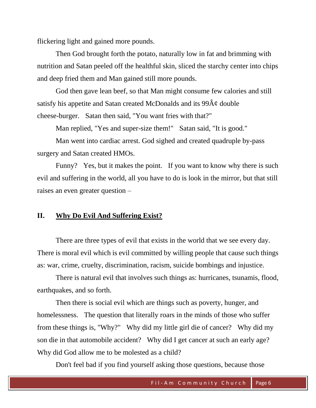flickering light and gained more pounds.

Then God brought forth the potato, naturally low in fat and brimming with nutrition and Satan peeled off the healthful skin, sliced the starchy center into chips and deep fried them and Man gained still more pounds.

God then gave lean beef, so that Man might consume few calories and still satisfy his appetite and Satan created McDonalds and its  $99\hat{A}\varphi$  double cheese-burger. Satan then said, "You want fries with that?"

Man replied, "Yes and super-size them!" Satan said, "It is good."

Man went into cardiac arrest. God sighed and created quadruple by-pass surgery and Satan created HMOs.

Funny? Yes, but it makes the point. If you want to know why there is such evil and suffering in the world, all you have to do is look in the mirror, but that still raises an even greater question –

#### **II. Why Do Evil And Suffering Exist?**

There are three types of evil that exists in the world that we see every day. There is moral evil which is evil committed by willing people that cause such things as: war, crime, cruelty, discrimination, racism, suicide bombings and injustice.

There is natural evil that involves such things as: hurricanes, tsunamis, flood, earthquakes, and so forth.

Then there is social evil which are things such as poverty, hunger, and homelessness. The question that literally roars in the minds of those who suffer from these things is, "Why?" Why did my little girl die of cancer? Why did my son die in that automobile accident? Why did I get cancer at such an early age? Why did God allow me to be molested as a child?

Don't feel bad if you find yourself asking those questions, because those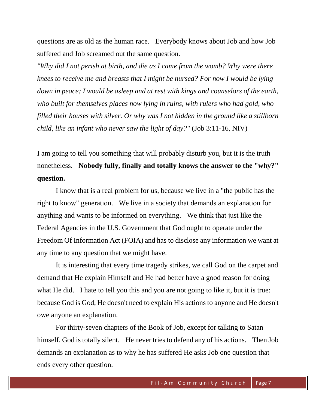questions are as old as the human race. Everybody knows about Job and how Job suffered and Job screamed out the same question.

*"Why did I not perish at birth, and die as I came from the womb? Why were there knees to receive me and breasts that I might be nursed? For now I would be lying down in peace; I would be asleep and at rest with kings and counselors of the earth, who built for themselves places now lying in ruins, with rulers who had gold, who filled their houses with silver. Or why was I not hidden in the ground like a stillborn child, like an infant who never saw the light of day?"* (Job 3:11-16, NIV)

I am going to tell you something that will probably disturb you, but it is the truth nonetheless. **Nobody fully, finally and totally knows the answer to the "why?" question.**

I know that is a real problem for us, because we live in a "the public has the right to know" generation. We live in a society that demands an explanation for anything and wants to be informed on everything. We think that just like the Federal Agencies in the U.S. Government that God ought to operate under the Freedom Of Information Act (FOIA) and has to disclose any information we want at any time to any question that we might have.

It is interesting that every time tragedy strikes, we call God on the carpet and demand that He explain Himself and He had better have a good reason for doing what He did. I hate to tell you this and you are not going to like it, but it is true: because God is God, He doesn't need to explain His actions to anyone and He doesn't owe anyone an explanation.

For thirty-seven chapters of the Book of Job, except for talking to Satan himself, God is totally silent. He never tries to defend any of his actions. Then Job demands an explanation as to why he has suffered He asks Job one question that ends every other question.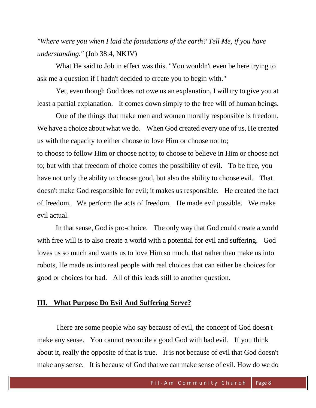*"Where were you when I laid the foundations of the earth? Tell Me, if you have understanding."* (Job 38:4, NKJV)

What He said to Job in effect was this. "You wouldn't even be here trying to ask me a question if I hadn't decided to create you to begin with."

Yet, even though God does not owe us an explanation, I will try to give you at least a partial explanation. It comes down simply to the free will of human beings.

One of the things that make men and women morally responsible is freedom. We have a choice about what we do. When God created every one of us, He created us with the capacity to either choose to love Him or choose not to;

to choose to follow Him or choose not to; to choose to believe in Him or choose not to; but with that freedom of choice comes the possibility of evil. To be free, you have not only the ability to choose good, but also the ability to choose evil. That doesn't make God responsible for evil; it makes us responsible. He created the fact of freedom. We perform the acts of freedom. He made evil possible. We make evil actual.

In that sense, God is pro-choice. The only way that God could create a world with free will is to also create a world with a potential for evil and suffering. God loves us so much and wants us to love Him so much, that rather than make us into robots, He made us into real people with real choices that can either be choices for good or choices for bad. All of this leads still to another question.

### **III. What Purpose Do Evil And Suffering Serve?**

There are some people who say because of evil, the concept of God doesn't make any sense. You cannot reconcile a good God with bad evil. If you think about it, really the opposite of that is true. It is not because of evil that God doesn't make any sense. It is because of God that we can make sense of evil. How do we do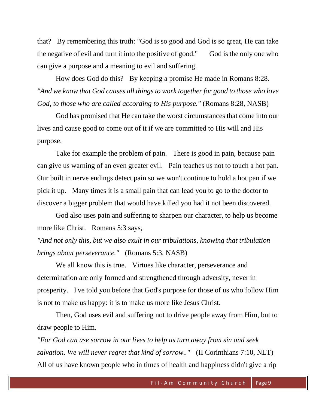that? By remembering this truth: "God is so good and God is so great, He can take the negative of evil and turn it into the positive of good." God is the only one who can give a purpose and a meaning to evil and suffering.

How does God do this? By keeping a promise He made in Romans 8:28. *"And we know that God causes all things to work together for good to those who love God, to those who are called according to His purpose."* (Romans 8:28, NASB)

God has promised that He can take the worst circumstances that come into our lives and cause good to come out of it if we are committed to His will and His purpose.

Take for example the problem of pain. There is good in pain, because pain can give us warning of an even greater evil. Pain teaches us not to touch a hot pan. Our built in nerve endings detect pain so we won't continue to hold a hot pan if we pick it up. Many times it is a small pain that can lead you to go to the doctor to discover a bigger problem that would have killed you had it not been discovered.

God also uses pain and suffering to sharpen our character, to help us become more like Christ. Romans 5:3 says,

*"And not only this, but we also exult in our tribulations, knowing that tribulation brings about perseverance."* (Romans 5:3, NASB)

We all know this is true. Virtues like character, perseverance and determination are only formed and strengthened through adversity, never in prosperity. I've told you before that God's purpose for those of us who follow Him is not to make us happy: it is to make us more like Jesus Christ.

Then, God uses evil and suffering not to drive people away from Him, but to draw people to Him.

*"For God can use sorrow in our lives to help us turn away from sin and seek salvation. We will never regret that kind of sorrow.."* (II Corinthians 7:10, NLT) All of us have known people who in times of health and happiness didn't give a rip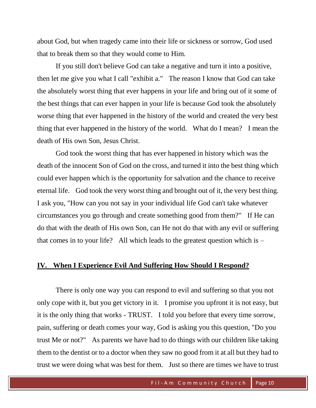about God, but when tragedy came into their life or sickness or sorrow, God used that to break them so that they would come to Him.

If you still don't believe God can take a negative and turn it into a positive, then let me give you what I call "exhibit a." The reason I know that God can take the absolutely worst thing that ever happens in your life and bring out of it some of the best things that can ever happen in your life is because God took the absolutely worse thing that ever happened in the history of the world and created the very best thing that ever happened in the history of the world. What do I mean? I mean the death of His own Son, Jesus Christ.

God took the worst thing that has ever happened in history which was the death of the innocent Son of God on the cross, and turned it into the best thing which could ever happen which is the opportunity for salvation and the chance to receive eternal life. God took the very worst thing and brought out of it, the very best thing. I ask you, "How can you not say in your individual life God can't take whatever circumstances you go through and create something good from them?" If He can do that with the death of His own Son, can He not do that with any evil or suffering that comes in to your life? All which leads to the greatest question which is  $-$ 

## **IV. When I Experience Evil And Suffering How Should I Respond?**

There is only one way you can respond to evil and suffering so that you not only cope with it, but you get victory in it. I promise you upfront it is not easy, but it is the only thing that works - TRUST. I told you before that every time sorrow, pain, suffering or death comes your way, God is asking you this question, "Do you trust Me or not?" As parents we have had to do things with our children like taking them to the dentist or to a doctor when they saw no good from it at all but they had to trust we were doing what was best for them. Just so there are times we have to trust